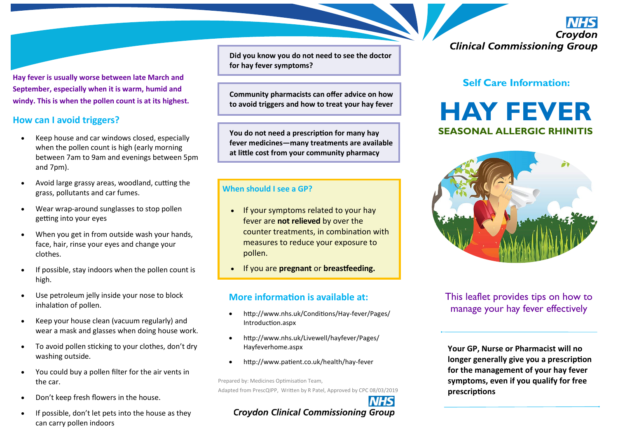**Hay fever is usually worse between late March and September, especially when it is warm, humid and windy. This is when the pollen count is at its highest.** 

#### **How can I avoid triggers?**

- Keep house and car windows closed, especially when the pollen count is high (early morning between 7am to 9am and evenings between 5pm and 7pm).
- Avoid large grassy areas, woodland, cutting the grass, pollutants and car fumes.
- Wear wrap-around sunglasses to stop pollen getting into your eyes
- When you get in from outside wash your hands, face, hair, rinse your eyes and change your clothes.
- If possible, stay indoors when the pollen count is high.
- Use petroleum jelly inside your nose to block inhalation of pollen.
- Keep your house clean (vacuum regularly) and wear a mask and glasses when doing house work.
- To avoid pollen sticking to your clothes, don't dry washing outside.
- You could buy a pollen filter for the air vents in the car.
- Don't keep fresh flowers in the house.
- If possible, don't let pets into the house as they can carry pollen indoors

**Did you know you do not need to see the doctor for hay fever symptoms?**

**Community pharmacists can offer advice on how to avoid triggers and how to treat your hay fever**

**You do not need a prescription for many hay fever medicines—many treatments are available at little cost from your community pharmacy**

#### **When should I see a GP?**

- If your symptoms related to your hay fever are **not relieved** by over the counter treatments, in combination with measures to reduce your exposure to pollen.
- If you are **pregnant** or **breastfeeding.**

## **More information is available at:**

- http://www.nhs.uk/Conditions/Hay-fever/Pages/ Introduction.aspx
- http://www.nhs.uk/Livewell/hayfever/Pages/ Hayfeverhome.aspx
- http://www.patient.co.uk/health/hay-fever

Prepared by: Medicines Optimisation Team, Adapted from PrescQIPP, Written by R Patel, Approved by CPC 08/03/2019

# **Crovdon Clinical Commissioning Group**

Croydon **Clinical Commissioning Group** 

## **Self Care Information:**

# **HAY FEVER SEASONAL ALLERGIC RHINITIS**



This leaflet provides tips on how to manage your hay fever effectively

**Your GP, Nurse or Pharmacist will no longer generally give you a prescription for the management of your hay fever symptoms, even if you qualify for free prescriptions**